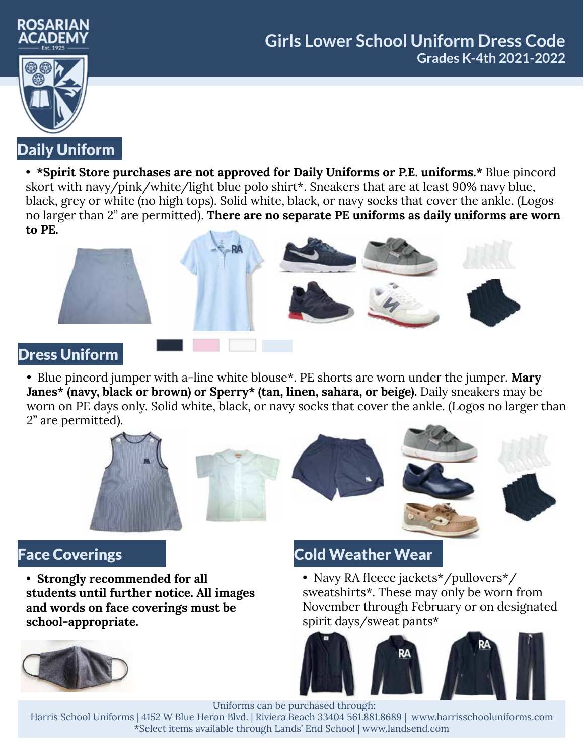



• **\*Spirit Store purchases are not approved for Daily Uniforms or P.E. uniforms.\*** Blue pincord skort with navy/pink/white/light blue polo shirt\*. Sneakers that are at least 90% navy blue, black, grey or white (no high tops). Solid white, black, or navy socks that cover the ankle. (Logos no larger than 2" are permitted). **There are no separate PE uniforms as daily uniforms are worn to PE.**



#### Dress Uniform

• Blue pincord jumper with a-line white blouse\*. PE shorts are worn under the jumper. **Mary Janes\* (navy, black or brown) or Sperry\* (tan, linen, sahara, or beige).** Daily sneakers may be worn on PE days only. Solid white, black, or navy socks that cover the ankle. (Logos no larger than 2" are permitted).



• **Strongly recommended for all students until further notice. All images and words on face coverings must be school-appropriate.**



# Face Coverings **Cold Weather Wear**

• Navy RA fleece jackets\*/pullovers\*/ sweatshirts\*. These may only be worn from November through February or on designated spirit days/sweat pants\*



Uniforms can be purchased through:

Harris School Uniforms | 4152 W Blue Heron Blvd. | Riviera Beach 33404 561.881.8689 | www.harrisschooluniforms.com \*Select items available through Lands' End School | www.landsend.com